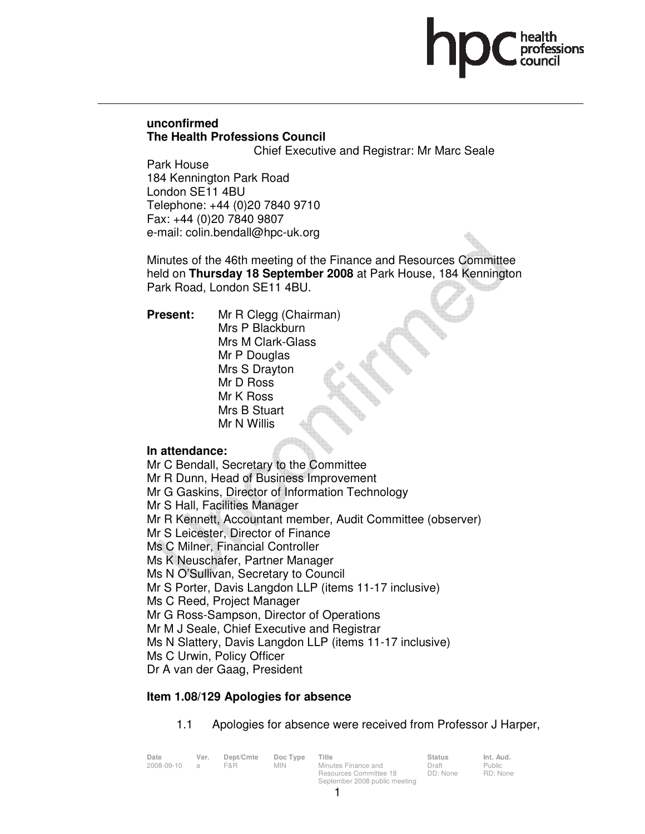# **unconfirmed The Health Professions Council**

Chief Executive and Registrar: Mr Marc Seale

Park House 184 Kennington Park Road London SE11 4BU Telephone: +44 (0)20 7840 9710 Fax: +44 (0)20 7840 9807 e-mail: colin.bendall@hpc-uk.org

Minutes of the 46th meeting of the Finance and Resources Committee held on **Thursday 18 September 2008** at Park House, 184 Kennington Park Road, London SE11 4BU.

**Present:** Mr R Clegg (Chairman) Mrs P Blackburn Mrs M Clark-Glass Mr P Douglas Mrs S Drayton Mr D Ross Mr K Ross Mrs B Stuart Mr N Willis

# **In attendance:**

Mr C Bendall, Secretary to the Committee Mr R Dunn, Head of Business Improvement Mr G Gaskins, Director of Information Technology Mr S Hall, Facilities Manager Mr R Kennett, Accountant member, Audit Committee (observer) Mr S Leicester, Director of Finance Ms C Milner, Financial Controller Ms K Neuschafer, Partner Manager Ms N O'Sullivan, Secretary to Council Mr S Porter, Davis Langdon LLP (items 11-17 inclusive) Ms C Reed, Project Manager Mr G Ross-Sampson, Director of Operations Mr M J Seale, Chief Executive and Registrar Ms N Slattery, Davis Langdon LLP (items 11-17 inclusive) Ms C Urwin, Policy Officer Dr A van der Gaag, President

# **Item 1.08/129 Apologies for absence**

1.1 Apologies for absence were received from Professor J Harper,

Public RD: None

| Date       | Ver.           | Dept/Cmte | Doc Type   | Title                         | <b>Status</b> | Int. Aud. |
|------------|----------------|-----------|------------|-------------------------------|---------------|-----------|
| 2008-09-10 | $\overline{a}$ | F&R       | <b>MIN</b> | Minutes Finance and           | Draft         | Public    |
|            |                |           |            | Resources Committee 18        | DD: None      | RD: Non   |
|            |                |           |            | September 2008 public meeting |               |           |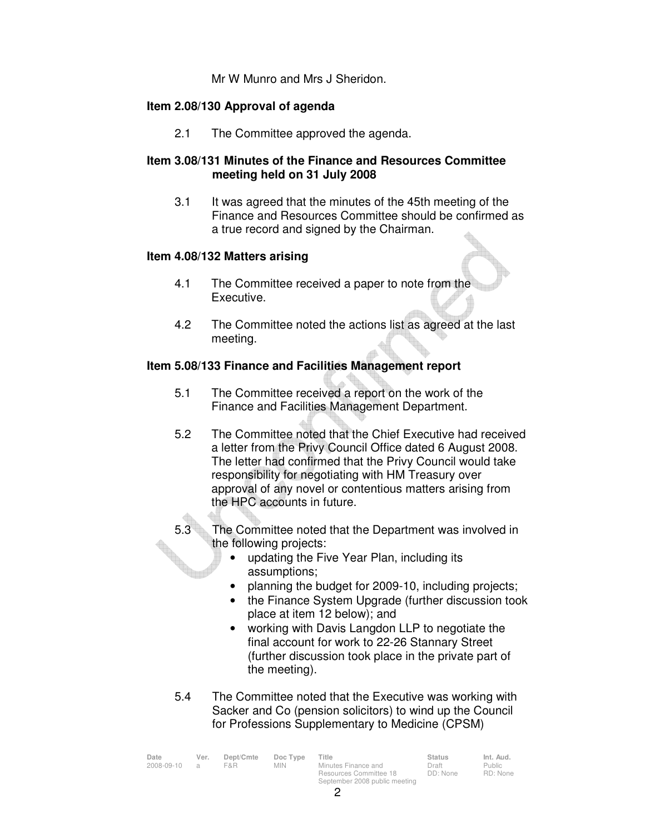Mr W Munro and Mrs J Sheridon.

# **Item 2.08/130 Approval of agenda**

2.1 The Committee approved the agenda.

# **Item 3.08/131 Minutes of the Finance and Resources Committee meeting held on 31 July 2008**

3.1 It was agreed that the minutes of the 45th meeting of the Finance and Resources Committee should be confirmed as a true record and signed by the Chairman.

# **Item 4.08/132 Matters arising**

- 4.1 The Committee received a paper to note from the Executive.
- 4.2 The Committee noted the actions list as agreed at the last meeting.

# **Item 5.08/133 Finance and Facilities Management report**

- 5.1 The Committee received a report on the work of the Finance and Facilities Management Department.
- 5.2 The Committee noted that the Chief Executive had received a letter from the Privy Council Office dated 6 August 2008. The letter had confirmed that the Privy Council would take responsibility for negotiating with HM Treasury over approval of any novel or contentious matters arising from the HPC accounts in future.
- 5.3 The Committee noted that the Department was involved in the following projects:
	- updating the Five Year Plan, including its assumptions;
	- planning the budget for 2009-10, including projects;
	- the Finance System Upgrade (further discussion took place at item 12 below); and
	- working with Davis Langdon LLP to negotiate the final account for work to 22-26 Stannary Street (further discussion took place in the private part of the meeting).
- 5.4 The Committee noted that the Executive was working with Sacker and Co (pension solicitors) to wind up the Council for Professions Supplementary to Medicine (CPSM)

| Date<br>2008-09-10 | Ver.<br>$\mathcal{A}$ | Dept/Cmte<br>F&R. | Doc Type<br>MIN. | Title<br>Minutes Finance and<br>Resources Committee 18 | <b>Status</b><br>Draft<br>DD: None | Int. Aud.<br>Public<br>RD: None |
|--------------------|-----------------------|-------------------|------------------|--------------------------------------------------------|------------------------------------|---------------------------------|
|                    |                       |                   |                  |                                                        |                                    |                                 |
|                    |                       |                   |                  | September 2008 public meeting                          |                                    |                                 |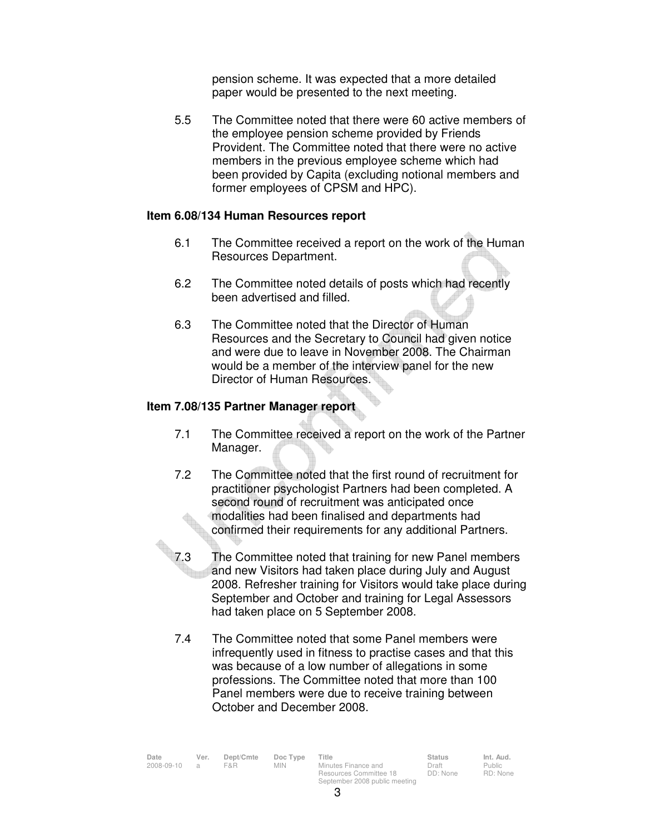pension scheme. It was expected that a more detailed paper would be presented to the next meeting.

 5.5 The Committee noted that there were 60 active members of the employee pension scheme provided by Friends Provident. The Committee noted that there were no active members in the previous employee scheme which had been provided by Capita (excluding notional members and former employees of CPSM and HPC).

# **Item 6.08/134 Human Resources report**

- 6.1 The Committee received a report on the work of the Human Resources Department.
- 6.2 The Committee noted details of posts which had recently been advertised and filled.
- 6.3 The Committee noted that the Director of Human Resources and the Secretary to Council had given notice and were due to leave in November 2008. The Chairman would be a member of the interview panel for the new Director of Human Resources.

# **Item 7.08/135 Partner Manager report**

- 7.1 The Committee received a report on the work of the Partner Manager.
- 7.2 The Committee noted that the first round of recruitment for practitioner psychologist Partners had been completed. A second round of recruitment was anticipated once modalities had been finalised and departments had confirmed their requirements for any additional Partners.
- 7.3 The Committee noted that training for new Panel members and new Visitors had taken place during July and August 2008. Refresher training for Visitors would take place during September and October and training for Legal Assessors had taken place on 5 September 2008.
	- 7.4 The Committee noted that some Panel members were infrequently used in fitness to practise cases and that this was because of a low number of allegations in some professions. The Committee noted that more than 100 Panel members were due to receive training between October and December 2008.

| Date       | Ver. | Dept/Cmte | Doc Type   | Title                                         | <b>Status</b>     | Int. Aud.         |
|------------|------|-----------|------------|-----------------------------------------------|-------------------|-------------------|
| 2008-09-10 | - 21 | F&R       | <b>MIN</b> | Minutes Finance and<br>Resources Committee 18 | Draft<br>DD: None | Public<br>RD: Non |
|            |      |           |            | September 2008 public meeting                 |                   |                   |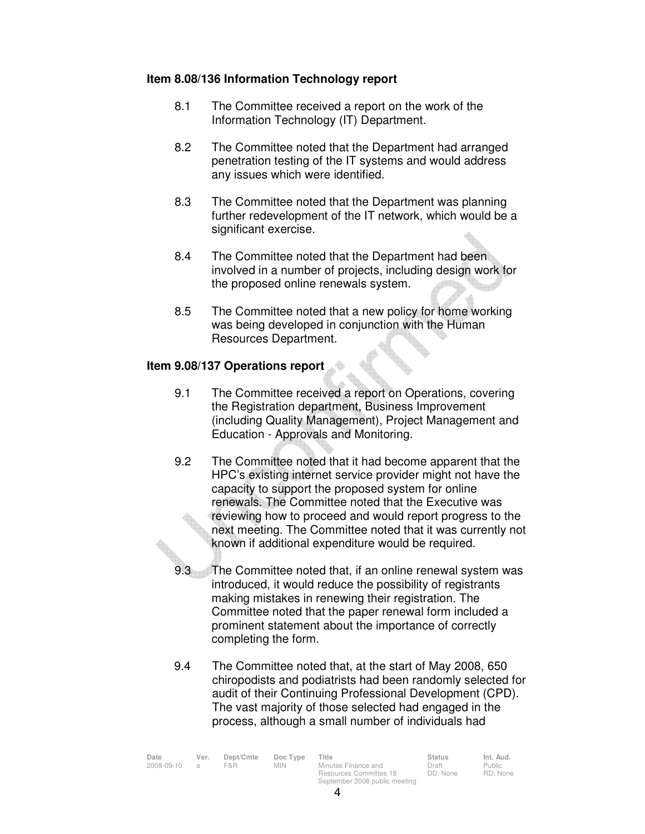# **Item 8.08/136 Information Technology report**

- 8.1 The Committee received a report on the work of the Information Technology (IT) Department.
- 8.2 The Committee noted that the Department had arranged penetration testing of the IT systems and would address any issues which were identified.
- 8.3 The Committee noted that the Department was planning further redevelopment of the IT network, which would be a significant exercise.
- 8.4 The Committee noted that the Department had been involved in a number of projects, including design work for the proposed online renewals system.
- 8.5 The Committee noted that a new policy for home working was being developed in conjunction with the Human Resources Department.

# **Item 9.08/137 Operations report**

- 9.1 The Committee received a report on Operations, covering the Registration department, Business Improvement (including Quality Management), Project Management and Education - Approvals and Monitoring.
- 9.2 The Committee noted that it had become apparent that the HPC's existing internet service provider might not have the capacity to support the proposed system for online renewals. The Committee noted that the Executive was reviewing how to proceed and would report progress to the next meeting. The Committee noted that it was currently not known if additional expenditure would be required.
- 9.3 The Committee noted that, if an online renewal system was introduced, it would reduce the possibility of registrants making mistakes in renewing their registration. The Committee noted that the paper renewal form included a prominent statement about the importance of correctly completing the form.
- 9.4 The Committee noted that, at the start of May 2008, 650 chiropodists and podiatrists had been randomly selected for audit of their Continuing Professional Development (CPD). The vast majority of those selected had engaged in the process, although a small number of individuals had

| Date       | Ver.          | Dept/Cmte | Doc Type   | Title                         | <b>Status</b> | Int. Aud. |
|------------|---------------|-----------|------------|-------------------------------|---------------|-----------|
| 2008-09-10 | $\mathcal{A}$ | F&R       | <b>MIN</b> | Minutes Finance and           | Draft         | Public    |
|            |               |           |            | Resources Committee 18        | DD: None      | RD: None  |
|            |               |           |            | September 2008 public meeting |               |           |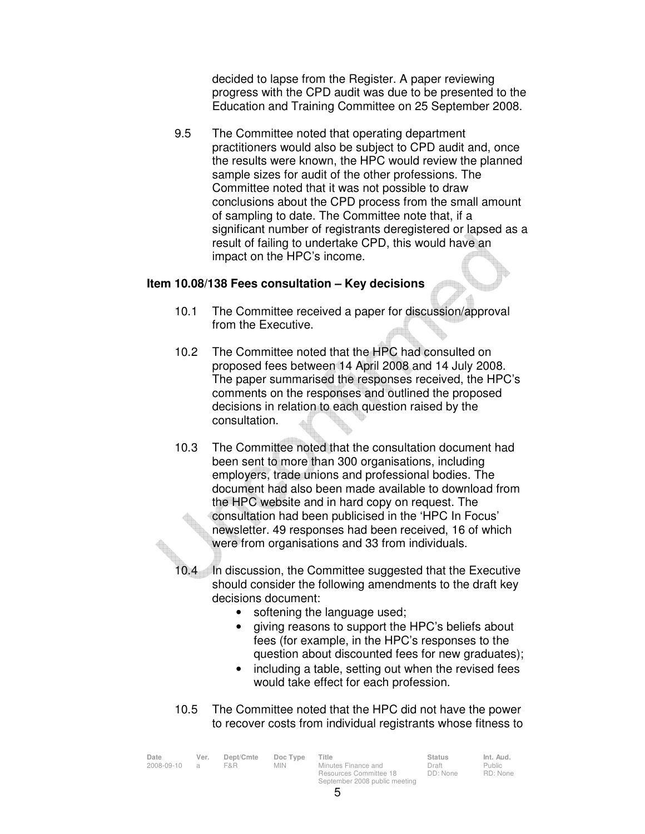decided to lapse from the Register. A paper reviewing progress with the CPD audit was due to be presented to the Education and Training Committee on 25 September 2008.

 9.5 The Committee noted that operating department practitioners would also be subject to CPD audit and, once the results were known, the HPC would review the planned sample sizes for audit of the other professions. The Committee noted that it was not possible to draw conclusions about the CPD process from the small amount of sampling to date. The Committee note that, if a significant number of registrants deregistered or lapsed as a result of failing to undertake CPD, this would have an impact on the HPC's income.

#### **Item 10.08/138 Fees consultation – Key decisions**

- 10.1 The Committee received a paper for discussion/approval from the Executive.
- 10.2 The Committee noted that the HPC had consulted on proposed fees between 14 April 2008 and 14 July 2008. The paper summarised the responses received, the HPC's comments on the responses and outlined the proposed decisions in relation to each question raised by the consultation.
- 10.3 The Committee noted that the consultation document had been sent to more than 300 organisations, including employers, trade unions and professional bodies. The document had also been made available to download from the HPC website and in hard copy on request. The consultation had been publicised in the 'HPC In Focus' newsletter. 49 responses had been received, 16 of which were from organisations and 33 from individuals.
- 10.4 In discussion, the Committee suggested that the Executive should consider the following amendments to the draft key decisions document:
	- softening the language used;
	- giving reasons to support the HPC's beliefs about fees (for example, in the HPC's responses to the question about discounted fees for new graduates);
	- including a table, setting out when the revised fees would take effect for each profession.

Public RD: None

 10.5 The Committee noted that the HPC did not have the power to recover costs from individual registrants whose fitness to

| Date       | Ver.           | Dept/Cmte | Doc Type   | Title                                         | <b>Status</b>     | Int. Aud.         |
|------------|----------------|-----------|------------|-----------------------------------------------|-------------------|-------------------|
| 2008-09-10 | $\overline{a}$ | F&R.      | <b>MIN</b> | Minutes Finance and<br>Resources Committee 18 | Draft<br>DD: None | Public<br>RD: Non |
|            |                |           |            | September 2008 public meeting                 |                   |                   |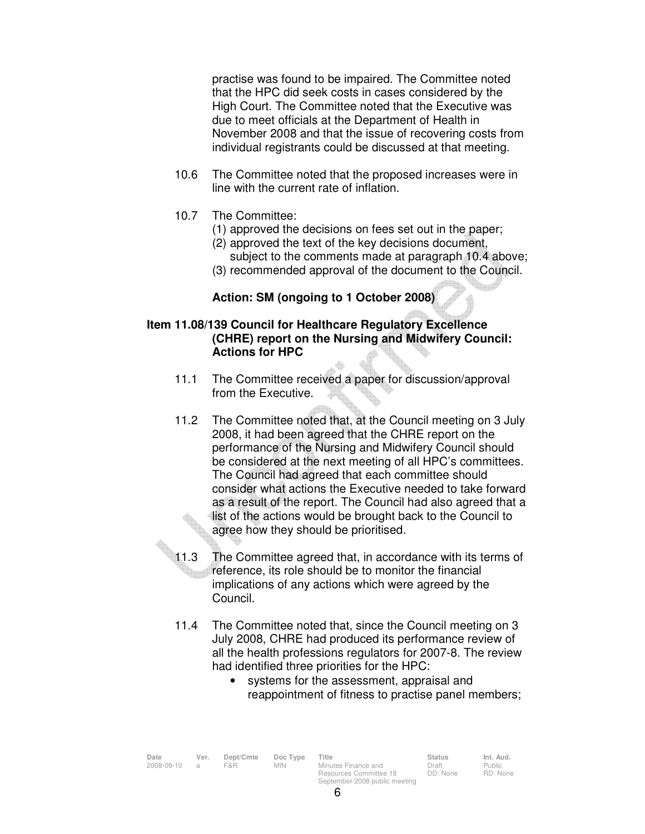practise was found to be impaired. The Committee noted that the HPC did seek costs in cases considered by the High Court. The Committee noted that the Executive was due to meet officials at the Department of Health in November 2008 and that the issue of recovering costs from individual registrants could be discussed at that meeting.

- 10.6 The Committee noted that the proposed increases were in line with the current rate of inflation.
- 10.7 The Committee:
	- (1) approved the decisions on fees set out in the paper;
	- (2) approved the text of the key decisions document, subject to the comments made at paragraph 10.4 above;
	- (3) recommended approval of the document to the Council.

# **Action: SM (ongoing to 1 October 2008)**

## **Item 11.08/139 Council for Healthcare Regulatory Excellence (CHRE) report on the Nursing and Midwifery Council: Actions for HPC**

- 11.1 The Committee received a paper for discussion/approval from the Executive.
- 11.2 The Committee noted that, at the Council meeting on 3 July 2008, it had been agreed that the CHRE report on the performance of the Nursing and Midwifery Council should be considered at the next meeting of all HPC's committees. The Council had agreed that each committee should consider what actions the Executive needed to take forward as a result of the report. The Council had also agreed that a list of the actions would be brought back to the Council to agree how they should be prioritised.
- 11.3 The Committee agreed that, in accordance with its terms of reference, its role should be to monitor the financial implications of any actions which were agreed by the Council.
	- 11.4 The Committee noted that, since the Council meeting on 3 July 2008, CHRE had produced its performance review of all the health professions regulators for 2007-8. The review had identified three priorities for the HPC:
		- systems for the assessment, appraisal and reappointment of fitness to practise panel members;

| Date         | Ver. | Dept/Cmte | Doc Type | Title               | <b>Status</b> | Int. Aud. |
|--------------|------|-----------|----------|---------------------|---------------|-----------|
| 2008-09-10 a |      | F&R       | MIN      | Minutes Finance and | Draft         | Public    |
|              |      |           |          |                     |               |           |

Minutes Finance and Resources Committee 18 September 2008 public meeting

Public RD: None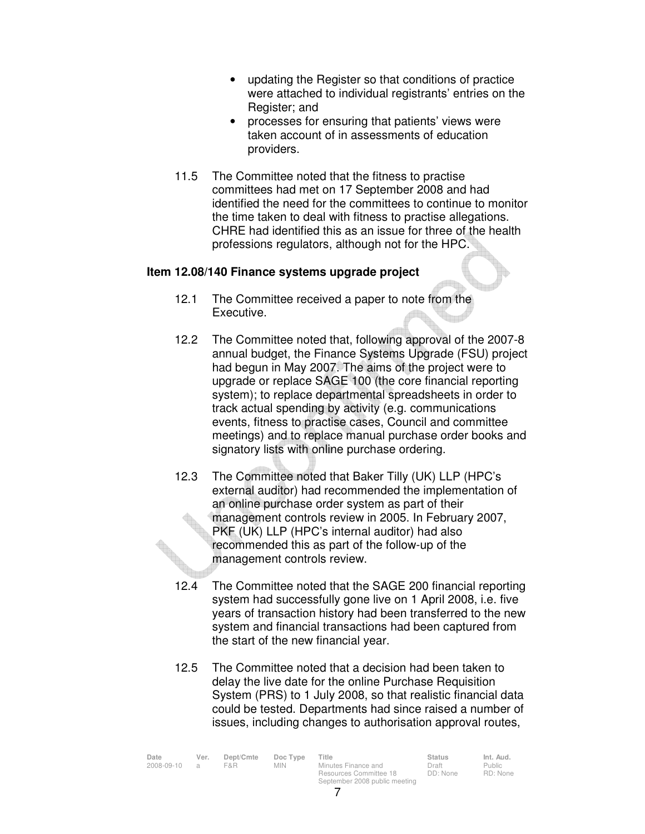- updating the Register so that conditions of practice were attached to individual registrants' entries on the Register; and
- processes for ensuring that patients' views were taken account of in assessments of education providers.
- 11.5 The Committee noted that the fitness to practise committees had met on 17 September 2008 and had identified the need for the committees to continue to monitor the time taken to deal with fitness to practise allegations. CHRE had identified this as an issue for three of the health professions regulators, although not for the HPC.

### **Item 12.08/140 Finance systems upgrade project**

- 12.1 The Committee received a paper to note from the Executive.
- 12.2 The Committee noted that, following approval of the 2007-8 annual budget, the Finance Systems Upgrade (FSU) project had begun in May 2007. The aims of the project were to upgrade or replace SAGE 100 (the core financial reporting system); to replace departmental spreadsheets in order to track actual spending by activity (e.g. communications events, fitness to practise cases, Council and committee meetings) and to replace manual purchase order books and signatory lists with online purchase ordering.
- 12.3 The Committee noted that Baker Tilly (UK) LLP (HPC's external auditor) had recommended the implementation of an online purchase order system as part of their management controls review in 2005. In February 2007, PKF (UK) LLP (HPC's internal auditor) had also recommended this as part of the follow-up of the management controls review.
- 12.4 The Committee noted that the SAGE 200 financial reporting system had successfully gone live on 1 April 2008, i.e. five years of transaction history had been transferred to the new system and financial transactions had been captured from the start of the new financial year.
- 12.5 The Committee noted that a decision had been taken to delay the live date for the online Purchase Requisition System (PRS) to 1 July 2008, so that realistic financial data could be tested. Departments had since raised a number of issues, including changes to authorisation approval routes,

Public RD: None

| Date       | Ver.           | Dept/Cmte | Doc Type | Title                         | <b>Status</b> | Int. Aud.     |
|------------|----------------|-----------|----------|-------------------------------|---------------|---------------|
| 2008-09-10 | $\overline{a}$ | F&R.      | MIN.     | Minutes Finance and           | Draft         | <b>Public</b> |
|            |                |           |          | Resources Committee 18        | DD: None      | RD: Non       |
|            |                |           |          | September 2008 public meeting |               |               |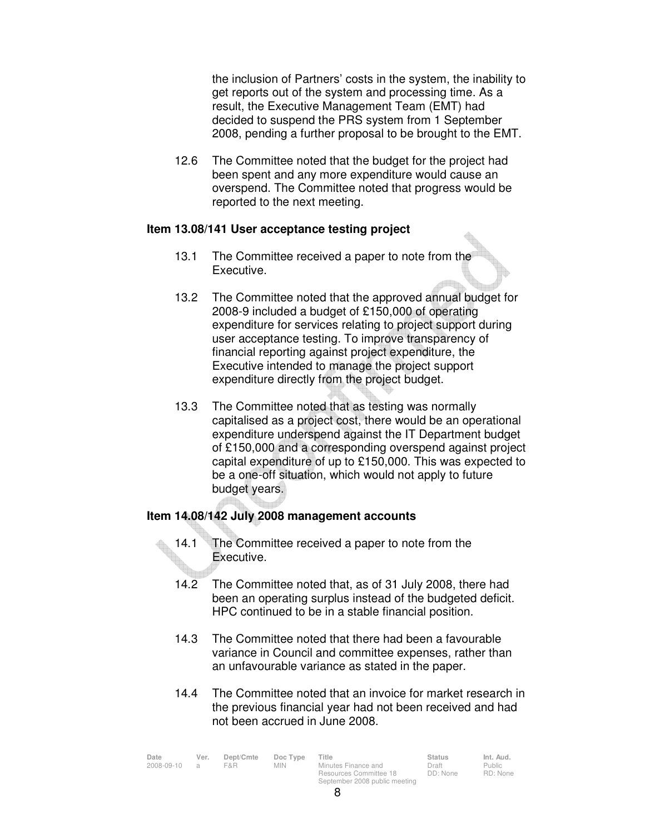the inclusion of Partners' costs in the system, the inability to get reports out of the system and processing time. As a result, the Executive Management Team (EMT) had decided to suspend the PRS system from 1 September 2008, pending a further proposal to be brought to the EMT.

 12.6 The Committee noted that the budget for the project had been spent and any more expenditure would cause an overspend. The Committee noted that progress would be reported to the next meeting.

## **Item 13.08/141 User acceptance testing project**

- 13.1 The Committee received a paper to note from the Executive.
- 13.2 The Committee noted that the approved annual budget for 2008-9 included a budget of £150,000 of operating expenditure for services relating to project support during user acceptance testing. To improve transparency of financial reporting against project expenditure, the Executive intended to manage the project support expenditure directly from the project budget.
- 13.3 The Committee noted that as testing was normally capitalised as a project cost, there would be an operational expenditure underspend against the IT Department budget of £150,000 and a corresponding overspend against project capital expenditure of up to £150,000. This was expected to be a one-off situation, which would not apply to future budget years.

# **Item 14.08/142 July 2008 management accounts**

- 14.1 The Committee received a paper to note from the Executive.
- 14.2 The Committee noted that, as of 31 July 2008, there had been an operating surplus instead of the budgeted deficit. HPC continued to be in a stable financial position.
- 14.3 The Committee noted that there had been a favourable variance in Council and committee expenses, rather than an unfavourable variance as stated in the paper.
- 14.4 The Committee noted that an invoice for market research in the previous financial year had not been received and had not been accrued in June 2008.

| Date       | Ver. | Dept/Cmte | Doc Type   | Title                         | <b>Status</b> | Int. Aud. |
|------------|------|-----------|------------|-------------------------------|---------------|-----------|
| 2008-09-10 |      | F&R       | <b>MIN</b> | Minutes Finance and           | Draft         | Public    |
|            |      |           |            | Resources Committee 18        | DD: None      | RD: None  |
|            |      |           |            | September 2008 public meeting |               |           |